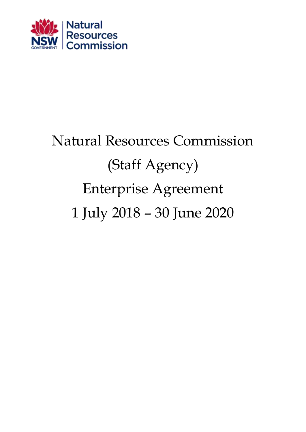

# Natural Resources Commission (Staff Agency) Enterprise Agreement 1 July 2018 – 30 June 2020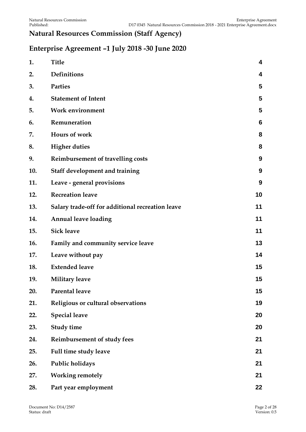# **Natural Resources Commission (Staff Agency)**

## **Enterprise Agreement –1 July 2018 -30 June 2020**

| 1.  | <b>Title</b>                                     | 4  |
|-----|--------------------------------------------------|----|
| 2.  | Definitions                                      | 4  |
| 3.  | <b>Parties</b>                                   | 5  |
| 4.  | <b>Statement of Intent</b>                       | 5  |
| 5.  | <b>Work environment</b>                          | 5  |
| 6.  | Remuneration                                     | 6  |
| 7.  | Hours of work                                    | 8  |
| 8.  | <b>Higher duties</b>                             | 8  |
| 9.  | Reimbursement of travelling costs                | 9  |
| 10. | Staff development and training                   | 9  |
| 11. | Leave - general provisions                       | 9  |
| 12. | <b>Recreation leave</b>                          | 10 |
| 13. | Salary trade-off for additional recreation leave | 11 |
| 14. | <b>Annual leave loading</b>                      | 11 |
| 15. | <b>Sick leave</b>                                | 11 |
| 16. | Family and community service leave               | 13 |
| 17. | Leave without pay                                | 14 |
| 18. | <b>Extended leave</b>                            | 15 |
| 19. | <b>Military leave</b>                            | 15 |
| 20. | Parental leave                                   | 15 |
| 21. | Religious or cultural observations               | 19 |
| 22. | <b>Special leave</b>                             | 20 |
| 23. | <b>Study time</b>                                | 20 |
| 24. | Reimbursement of study fees                      | 21 |
| 25. | Full time study leave                            | 21 |
| 26. | Public holidays                                  | 21 |
| 27. | <b>Working remotely</b>                          | 21 |
| 28. | Part year employment                             | 22 |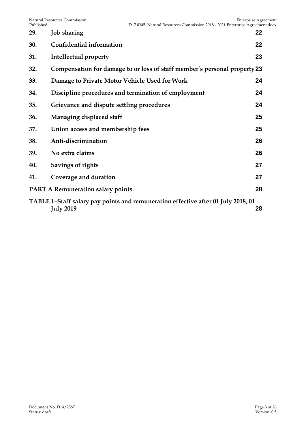| 29.                                                                                                         | <b>Job sharing</b>                                                        | 22 |  |  |  |  |
|-------------------------------------------------------------------------------------------------------------|---------------------------------------------------------------------------|----|--|--|--|--|
| 30.                                                                                                         | <b>Confidential information</b>                                           | 22 |  |  |  |  |
| 31.                                                                                                         | Intellectual property                                                     | 23 |  |  |  |  |
| 32.                                                                                                         | Compensation for damage to or loss of staff member's personal property 23 |    |  |  |  |  |
| 33.                                                                                                         | Damage to Private Motor Vehicle Used for Work                             | 24 |  |  |  |  |
| 34.                                                                                                         | Discipline procedures and termination of employment                       | 24 |  |  |  |  |
| 35.                                                                                                         | Grievance and dispute settling procedures                                 | 24 |  |  |  |  |
| 36.                                                                                                         | Managing displaced staff                                                  | 25 |  |  |  |  |
| 37.                                                                                                         | Union access and membership fees                                          | 25 |  |  |  |  |
| 38.                                                                                                         | Anti-discrimination                                                       | 26 |  |  |  |  |
| 39.                                                                                                         | No extra claims                                                           | 26 |  |  |  |  |
| 40.                                                                                                         | Savings of rights                                                         | 27 |  |  |  |  |
| 41.                                                                                                         | Coverage and duration                                                     | 27 |  |  |  |  |
|                                                                                                             | <b>PART A Remuneration salary points</b>                                  | 28 |  |  |  |  |
| TABLE 1-Staff salary pay points and remuneration effective after 01 July 2018, 01<br><b>July 2019</b><br>28 |                                                                           |    |  |  |  |  |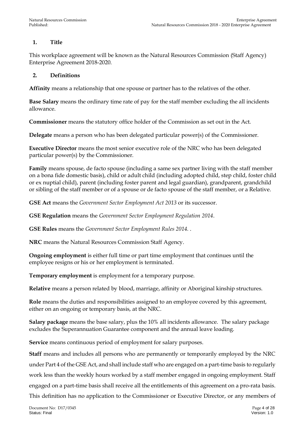### <span id="page-3-0"></span>**1. Title**

This workplace agreement will be known as the Natural Resources Commission (Staff Agency) Enterprise Agreement 2018-2020.

#### <span id="page-3-1"></span>**2. Definitions**

**Affinity** means a relationship that one spouse or partner has to the relatives of the other.

**Base Salary** means the ordinary time rate of pay for the staff member excluding the all incidents allowance.

**Commissioner** means the statutory office holder of the Commission as set out in the Act.

**Delegate** means a person who has been delegated particular power(s) of the Commissioner.

**Executive Director** means the most senior executive role of the NRC who has been delegated particular power(s) by the Commissioner.

**Family** means spouse, de facto spouse (including a same sex partner living with the staff member on a bona fide domestic basis), child or adult child (including adopted child, step child, foster child or ex nuptial child), parent (including foster parent and legal guardian), grandparent, grandchild or sibling of the staff member or of a spouse or de facto spouse of the staff member, or a Relative.

**GSE Act** means the *Government Sector Employment Act 2013* or its successor.

**GSE Regulation** means the *Government Sector Employment Regulation 2014*.

**GSE Rules** means the *Government Sector Employment Rules 2014.* .

**NRC** means the Natural Resources Commission Staff Agency.

**Ongoing employment** is either full time or part time employment that continues until the employee resigns or his or her employment is terminated.

**Temporary employment** is employment for a temporary purpose.

**Relative** means a person related by blood, marriage, affinity or Aboriginal kinship structures.

**Role** means the duties and responsibilities assigned to an employee covered by this agreement, either on an ongoing or temporary basis, at the NRC.

**Salary package** means the base salary, plus the 10% all incidents allowance. The salary package excludes the Superannuation Guarantee component and the annual leave loading.

**Service** means continuous period of employment for salary purposes.

**Staff** means and includes all persons who are permanently or temporarily employed by the NRC under Part 4 of the GSE Act, and shall include staff who are engaged on a part-time basis to regularly work less than the weekly hours worked by a staff member engaged in ongoing employment. Staff engaged on a part-time basis shall receive all the entitlements of this agreement on a pro-rata basis. This definition has no application to the Commissioner or Executive Director, or any members of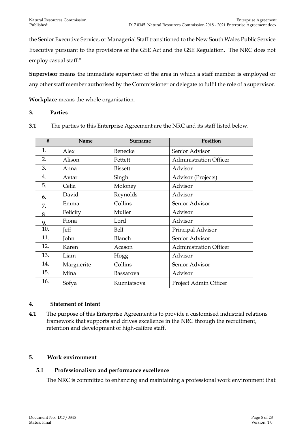the Senior Executive Service, or Managerial Staff transitioned to the New South Wales Public Service Executive pursuant to the provisions of the GSE Act and the GSE Regulation. The NRC does not employ casual staff."

**Supervisor** means the immediate supervisor of the area in which a staff member is employed or any other staff member authorised by the Commissioner or delegate to fulfil the role of a supervisor.

**Workplace** means the whole organisation.

#### <span id="page-4-0"></span>**3. Parties**

| #   | Name       | Surname        | Position                      |
|-----|------------|----------------|-------------------------------|
| 1.  | Alex       | Benecke        | Senior Advisor                |
| 2.  | Alison     | Pettett        | <b>Administration Officer</b> |
| 3.  | Anna       | <b>Bissett</b> | Advisor                       |
| 4.  | Avtar      | Singh          | Advisor (Projects)            |
| 5.  | Celia      | Moloney        | Advisor                       |
| 6.  | David      | Reynolds       | Advisor                       |
| 7   | Emma       | Collins        | Senior Advisor                |
|     | Felicity   | Muller         | Advisor                       |
| 9   | Fiona      | Lord           | Advisor                       |
| 10. | Jeff       | <b>Bell</b>    | Principal Advisor             |
| 11. | John       | Blanch         | Senior Advisor                |
| 12. | Karen      | Acason         | <b>Administration Officer</b> |
| 13. | Liam       | Hogg           | Advisor                       |
| 14. | Marguerite | Collins        | Senior Advisor                |
| 15. | Mina       | Bassarova      | Advisor                       |
| 16. | Sofya      | Kuzniatsova    | Project Admin Officer         |

**3.1** The parties to this Enterprise Agreement are the NRC and its staff listed below.

#### <span id="page-4-1"></span>**4. Statement of Intent**

**4.1** The purpose of this Enterprise Agreement is to provide a customised industrial relations framework that supports and drives excellence in the NRC through the recruitment, retention and development of high-calibre staff.

#### <span id="page-4-2"></span>**5. Work environment**

#### **5.1 Professionalism and performance excellence**

The NRC is committed to enhancing and maintaining a professional work environment that: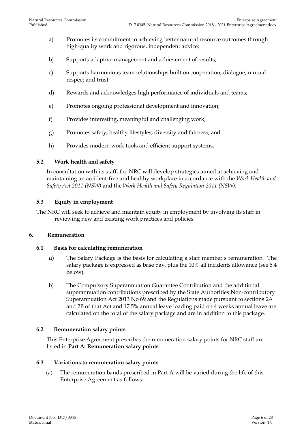- a) Promotes its commitment to achieving better natural resource outcomes through high-quality work and rigorous, independent advice;
- b) Supports adaptive management and achievement of results;
- c) Supports harmonious team relationships built on cooperation, dialogue, mutual respect and trust;
- d) Rewards and acknowledges high performance of individuals and teams;
- e) Promotes ongoing professional development and innovation;
- f) Provides interesting, meaningful and challenging work;
- g) Promotes safety, healthy lifestyles, diversity and fairness; and
- h) Provides modern work tools and efficient support systems.

#### **5.2 Work health and safety**

In consultation with its staff, the NRC will develop strategies aimed at achieving and maintaining an accident-free and healthy workplace in accordance with the *Work Health and Safety Act 2011 (NSW)* and the *Work Health and Safety Regulation 2011 (NSW)*.

#### **5.3 Equity in employment**

The NRC will seek to achieve and maintain equity in employment by involving its staff in reviewing new and existing work practices and policies.

#### <span id="page-5-0"></span>**6. Remuneration**

#### **6.1 Basis for calculating remuneration**

- a) The Salary Package is the basis for calculating a staff member's remuneration. The salary package is expressed as base pay, plus the 10% all incidents allowance (see 6.4 below).
- b) The Compulsory Superannuation Guarantee Contribution and the additional superannuation contributions prescribed by the State Authorities Non-contributory Superannuation Act 2013 No 69 and the Regulations made pursuant to sections 2A and 2B of that Act and 17.5% annual leave loading paid on 4 weeks annual leave are calculated on the total of the salary package and are in addition to this package.

#### **6.2 Remuneration salary points**

This Enterprise Agreement prescribes the remuneration salary points for NRC staff are listed in **Part A: Remuneration salary points**.

#### **6.3 Variations to remuneration salary points**

(a) The remuneration bands prescribed in Part A will be varied during the life of this Enterprise Agreement as follows: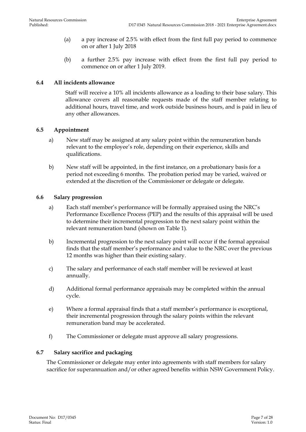- (a) a pay increase of 2.5% with effect from the first full pay period to commence on or after 1 July 2018
- (b) a further 2.5% pay increase with effect from the first full pay period to commence on or after 1 July 2019.

#### **6.4 All incidents allowance**

Staff will receive a 10% all incidents allowance as a loading to their base salary. This allowance covers all reasonable requests made of the staff member relating to additional hours, travel time, and work outside business hours, and is paid in lieu of any other allowances.

#### **6.5 Appointment**

- a) New staff may be assigned at any salary point within the remuneration bands relevant to the employee's role, depending on their experience, skills and qualifications.
- b) New staff will be appointed, in the first instance, on a probationary basis for a period not exceeding 6 months. The probation period may be varied, waived or extended at the discretion of the Commissioner or delegate or delegate.

#### **6.6 Salary progression**

- a) Each staff member's performance will be formally appraised using the NRC's Performance Excellence Process (PEP) and the results of this appraisal will be used to determine their incremental progression to the next salary point within the relevant remuneration band (shown on Table 1).
- b) Incremental progression to the next salary point will occur if the formal appraisal finds that the staff member's performance and value to the NRC over the previous 12 months was higher than their existing salary.
- c) The salary and performance of each staff member will be reviewed at least annually.
- d) Additional formal performance appraisals may be completed within the annual cycle.
- e) Where a formal appraisal finds that a staff member's performance is exceptional, their incremental progression through the salary points within the relevant remuneration band may be accelerated.
- f) The Commissioner or delegate must approve all salary progressions.

#### **6.7 Salary sacrifice and packaging**

The Commissioner or delegate may enter into agreements with staff members for salary sacrifice for superannuation and/or other agreed benefits within NSW Government Policy.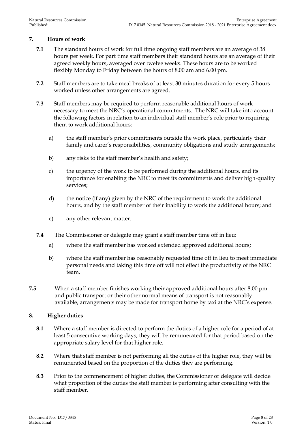#### <span id="page-7-0"></span>**7. Hours of work**

- **7.1** The standard hours of work for full time ongoing staff members are an average of 38 hours per week. For part time staff members their standard hours are an average of their agreed weekly hours, averaged over twelve weeks. These hours are to be worked flexibly Monday to Friday between the hours of 8.00 am and 6.00 pm.
- **7.2** Staff members are to take meal breaks of at least 30 minutes duration for every 5 hours worked unless other arrangements are agreed.
- **7.3** Staff members may be required to perform reasonable additional hours of work necessary to meet the NRC's operational commitments. The NRC will take into account the following factors in relation to an individual staff member's role prior to requiring them to work additional hours:
	- a) the staff member's prior commitments outside the work place, particularly their family and carer's responsibilities, community obligations and study arrangements;
	- b) any risks to the staff member's health and safety;
	- c) the urgency of the work to be performed during the additional hours, and its importance for enabling the NRC to meet its commitments and deliver high-quality services;
	- d) the notice (if any) given by the NRC of the requirement to work the additional hours, and by the staff member of their inability to work the additional hours; and
	- e) any other relevant matter.
- **7.4** The Commissioner or delegate may grant a staff member time off in lieu:
	- a) where the staff member has worked extended approved additional hours;
	- b) where the staff member has reasonably requested time off in lieu to meet immediate personal needs and taking this time off will not effect the productivity of the NRC team.
- **7.5** When a staff member finishes working their approved additional hours after 8.00 pm and public transport or their other normal means of transport is not reasonably available, arrangements may be made for transport home by taxi at the NRC's expense.

#### <span id="page-7-1"></span>**8. Higher duties**

- **8.1** Where a staff member is directed to perform the duties of a higher role for a period of at least 5 consecutive working days, they will be remunerated for that period based on the appropriate salary level for that higher role.
- **8.2** Where that staff member is not performing all the duties of the higher role, they will be remunerated based on the proportion of the duties they are performing.
- **8.3** Prior to the commencement of higher duties, the Commissioner or delegate will decide what proportion of the duties the staff member is performing after consulting with the staff member.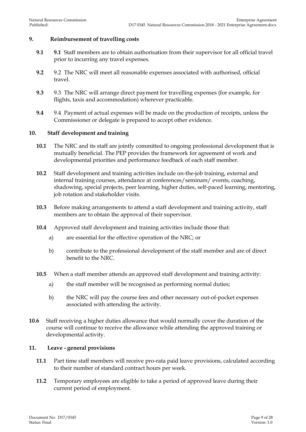#### <span id="page-8-0"></span>**9. Reimbursement of travelling costs**

- **9.1 9.1** Staff members are to obtain authorisation from their supervisor for all official travel prior to incurring any travel expenses.
- **9.2** 9.2 The NRC will meet all reasonable expenses associated with authorised, official travel.
- **9.3** 9.3 The NRC will arrange direct payment for travelling expenses (for example, for flights, taxis and accommodation) wherever practicable.
- **9.4** 9.4 Payment of actual expenses will be made on the production of receipts, unless the Commissioner or delegate is prepared to accept other evidence.

#### <span id="page-8-1"></span>**10. Staff development and training**

- **10.1** The NRC and its staff are jointly committed to ongoing professional development that is mutually beneficial. The PEP provides the framework for agreement of work and developmental priorities and performance feedback of each staff member.
- **10.2** Staff development and training activities include on-the-job training, external and internal training courses, attendance at conferences/seminars/ events, coaching, shadowing, special projects, peer learning, higher duties, self-paced learning, mentoring, job rotation and stakeholder visits.
- **10.3** Before making arrangements to attend a staff development and training activity, staff members are to obtain the approval of their supervisor.
- **10.4** Approved staff development and training activities include those that:
	- a) are essential for the effective operation of the NRC; or
	- b) contribute to the professional development of the staff member and are of direct benefit to the NRC.
- **10.5** When a staff member attends an approved staff development and training activity:
	- a) the staff member will be recognised as performing normal duties;
	- b) the NRC will pay the course fees and other necessary out-of-pocket expenses associated with attending the activity.
- **10.6** Staff receiving a higher duties allowance that would normally cover the duration of the course will continue to receive the allowance while attending the approved training or developmental activity.

#### <span id="page-8-2"></span>**11. Leave - general provisions**

- **11.1** Part time staff members will receive pro-rata paid leave provisions, calculated according to their number of standard contract hours per week.
- **11.2** Temporary employees are eligible to take a period of approved leave during their current period of employment.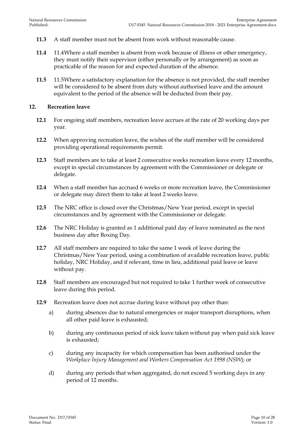- **11.3** A staff member must not be absent from work without reasonable cause.
- **11.4** 11.4Where a staff member is absent from work because of illness or other emergency, they must notify their supervisor (either personally or by arrangement) as soon as practicable of the reason for and expected duration of the absence.
- **11.5** 11.5Where a satisfactory explanation for the absence is not provided, the staff member will be considered to be absent from duty without authorised leave and the amount equivalent to the period of the absence will be deducted from their pay.

#### <span id="page-9-0"></span>**12. Recreation leave**

- **12.1** For ongoing staff members, recreation leave accrues at the rate of 20 working days per year.
- **12.2** When approving recreation leave, the wishes of the staff member will be considered providing operational requirements permit.
- **12.3** Staff members are to take at least 2 consecutive weeks recreation leave every 12 months, except in special circumstances by agreement with the Commissioner or delegate or delegate.
- **12.4** When a staff member has accrued 6 weeks or more recreation leave, the Commissioner or delegate may direct them to take at least 2 weeks leave.
- **12.5** The NRC office is closed over the Christmas/New Year period, except in special circumstances and by agreement with the Commissioner or delegate.
- **12.6** The NRC Holiday is granted as 1 additional paid day of leave nominated as the next business day after Boxing Day.
- **12.7** All staff members are required to take the same 1 week of leave during the Christmas/New Year period, using a combination of available recreation leave, public holiday, NRC Holiday, and if relevant, time in lieu, additional paid leave or leave without pay.
- **12.8** Staff members are encouraged but not required to take 1 further week of consecutive leave during this period.
- **12.9** Recreation leave does not accrue during leave without pay other than:
	- a) during absences due to natural emergencies or major transport disruptions, when all other paid leave is exhausted;
	- b) during any continuous period of sick leave taken without pay when paid sick leave is exhausted;
	- c) during any incapacity for which compensation has been authorised under the *Workplace Injury Management and Workers Compensation Act 1998 (NSW*); or
	- d) during any periods that when aggregated, do not exceed 5 working days in any period of 12 months.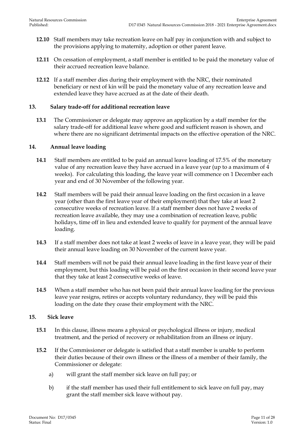- **12.10** Staff members may take recreation leave on half pay in conjunction with and subject to the provisions applying to maternity, adoption or other parent leave.
- **12.11** On cessation of employment, a staff member is entitled to be paid the monetary value of their accrued recreation leave balance.
- **12.12** If a staff member dies during their employment with the NRC, their nominated beneficiary or next of kin will be paid the monetary value of any recreation leave and extended leave they have accrued as at the date of their death.

#### <span id="page-10-0"></span>**13. Salary trade-off for additional recreation leave**

**13.1** The Commissioner or delegate may approve an application by a staff member for the salary trade-off for additional leave where good and sufficient reason is shown, and where there are no significant detrimental impacts on the effective operation of the NRC.

#### <span id="page-10-1"></span>**14. Annual leave loading**

- **14.1** Staff members are entitled to be paid an annual leave loading of 17.5% of the monetary value of any recreation leave they have accrued in a leave year (up to a maximum of 4 weeks). For calculating this loading, the leave year will commence on 1 December each year and end of 30 November of the following year.
- **14.2** Staff members will be paid their annual leave loading on the first occasion in a leave year (other than the first leave year of their employment) that they take at least 2 consecutive weeks of recreation leave. If a staff member does not have 2 weeks of recreation leave available, they may use a combination of recreation leave, public holidays, time off in lieu and extended leave to qualify for payment of the annual leave loading.
- **14.3** If a staff member does not take at least 2 weeks of leave in a leave year, they will be paid their annual leave loading on 30 November of the current leave year.
- **14.4** Staff members will not be paid their annual leave loading in the first leave year of their employment, but this loading will be paid on the first occasion in their second leave year that they take at least 2 consecutive weeks of leave.
- **14.5** When a staff member who has not been paid their annual leave loading for the previous leave year resigns, retires or accepts voluntary redundancy, they will be paid this loading on the date they cease their employment with the NRC.

#### <span id="page-10-2"></span>**15. Sick leave**

- **15.1** In this clause, illness means a physical or psychological illness or injury, medical treatment, and the period of recovery or rehabilitation from an illness or injury.
- **15.2** If the Commissioner or delegate is satisfied that a staff member is unable to perform their duties because of their own illness or the illness of a member of their family, the Commissioner or delegate:
	- a) will grant the staff member sick leave on full pay; or
	- b) if the staff member has used their full entitlement to sick leave on full pay, may grant the staff member sick leave without pay.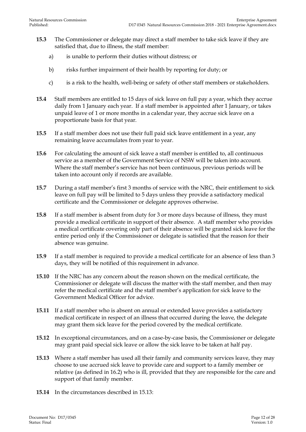- **15.3** The Commissioner or delegate may direct a staff member to take sick leave if they are satisfied that, due to illness, the staff member:
	- a) is unable to perform their duties without distress; or
	- b) risks further impairment of their health by reporting for duty; or
	- c) is a risk to the health, well-being or safety of other staff members or stakeholders.
- **15.4** Staff members are entitled to 15 days of sick leave on full pay a year, which they accrue daily from 1 January each year. If a staff member is appointed after 1 January, or takes unpaid leave of 1 or more months in a calendar year, they accrue sick leave on a proportionate basis for that year.
- **15.5** If a staff member does not use their full paid sick leave entitlement in a year, any remaining leave accumulates from year to year.
- **15.6** For calculating the amount of sick leave a staff member is entitled to, all continuous service as a member of the Government Service of NSW will be taken into account. Where the staff member's service has not been continuous, previous periods will be taken into account only if records are available.
- **15.7** During a staff member's first 3 months of service with the NRC, their entitlement to sick leave on full pay will be limited to 5 days unless they provide a satisfactory medical certificate and the Commissioner or delegate approves otherwise.
- **15.8** If a staff member is absent from duty for 3 or more days because of illness, they must provide a medical certificate in support of their absence. A staff member who provides a medical certificate covering only part of their absence will be granted sick leave for the entire period only if the Commissioner or delegate is satisfied that the reason for their absence was genuine.
- **15.9** If a staff member is required to provide a medical certificate for an absence of less than 3 days, they will be notified of this requirement in advance.
- **15.10** If the NRC has any concern about the reason shown on the medical certificate, the Commissioner or delegate will discuss the matter with the staff member, and then may refer the medical certificate and the staff member's application for sick leave to the Government Medical Officer for advice.
- **15.11** If a staff member who is absent on annual or extended leave provides a satisfactory medical certificate in respect of an illness that occurred during the leave, the delegate may grant them sick leave for the period covered by the medical certificate.
- **15.12** In exceptional circumstances, and on a case-by-case basis, the Commissioner or delegate may grant paid special sick leave or allow the sick leave to be taken at half pay.
- **15.13** Where a staff member has used all their family and community services leave, they may choose to use accrued sick leave to provide care and support to a family member or relative (as defined in 16.2) who is ill, provided that they are responsible for the care and support of that family member.
- **15.14** In the circumstances described in 15.13: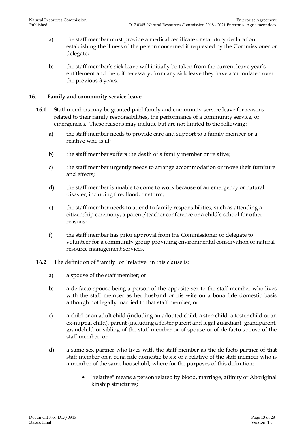- a) the staff member must provide a medical certificate or statutory declaration establishing the illness of the person concerned if requested by the Commissioner or delegate;
- b) the staff member's sick leave will initially be taken from the current leave year's entitlement and then, if necessary, from any sick leave they have accumulated over the previous 3 years.

#### <span id="page-12-0"></span>**16. Family and community service leave**

- **16.1** Staff members may be granted paid family and community service leave for reasons related to their family responsibilities, the performance of a community service, or emergencies. These reasons may include but are not limited to the following:
	- a) the staff member needs to provide care and support to a family member or a relative who is ill;
	- b) the staff member suffers the death of a family member or relative;
	- c) the staff member urgently needs to arrange accommodation or move their furniture and effects;
	- d) the staff member is unable to come to work because of an emergency or natural disaster, including fire, flood, or storm;
	- e) the staff member needs to attend to family responsibilities, such as attending a citizenship ceremony, a parent/teacher conference or a child's school for other reasons;
	- f) the staff member has prior approval from the Commissioner or delegate to volunteer for a community group providing environmental conservation or natural resource management services.
- **16.2** The definition of "family" or "relative" in this clause is:
	- a) a spouse of the staff member; or
	- b) a de facto spouse being a person of the opposite sex to the staff member who lives with the staff member as her husband or his wife on a bona fide domestic basis although not legally married to that staff member; or
	- c) a child or an adult child (including an adopted child, a step child, a foster child or an ex-nuptial child), parent (including a foster parent and legal guardian), grandparent, grandchild or sibling of the staff member or of spouse or of de facto spouse of the staff member; or
	- d) a same sex partner who lives with the staff member as the de facto partner of that staff member on a bona fide domestic basis; or a relative of the staff member who is a member of the same household, where for the purposes of this definition:
		- "relative" means a person related by blood, marriage, affinity or Aboriginal kinship structures;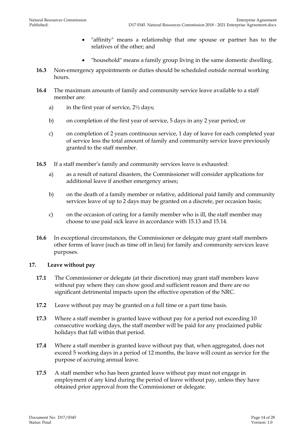- "affinity" means a relationship that one spouse or partner has to the relatives of the other; and
- "household" means a family group living in the same domestic dwelling.
- **16.3** Non-emergency appointments or duties should be scheduled outside normal working hours.
- **16.4** The maximum amounts of family and community service leave available to a staff member are:
	- a) in the first year of service, 2½ days;
	- b) on completion of the first year of service, 5 days in any 2 year period; or
	- c) on completion of 2 years continuous service, 1 day of leave for each completed year of service less the total amount of family and community service leave previously granted to the staff member.
- **16.5** If a staff member's family and community services leave is exhausted:
	- a) as a result of natural disasters, the Commissioner will consider applications for additional leave if another emergency arises;
	- b) on the death of a family member or relative, additional paid family and community services leave of up to 2 days may be granted on a discrete, per occasion basis;
	- c) on the occasion of caring for a family member who is ill, the staff member may choose to use paid sick leave in accordance with 15.13 and 15.14.
- **16.6** In exceptional circumstances, the Commissioner or delegate may grant staff members other forms of leave (such as time off in lieu) for family and community services leave purposes.

#### <span id="page-13-0"></span>**17. Leave without pay**

- **17.1** The Commissioner or delegate (at their discretion) may grant staff members leave without pay where they can show good and sufficient reason and there are no significant detrimental impacts upon the effective operation of the NRC.
- **17.2** Leave without pay may be granted on a full time or a part time basis.
- **17.3** Where a staff member is granted leave without pay for a period not exceeding 10 consecutive working days, the staff member will be paid for any proclaimed public holidays that fall within that period.
- **17.4** Where a staff member is granted leave without pay that, when aggregated, does not exceed 5 working days in a period of 12 months, the leave will count as service for the purpose of accruing annual leave.
- **17.5** A staff member who has been granted leave without pay must not engage in employment of any kind during the period of leave without pay, unless they have obtained prior approval from the Commissioner or delegate.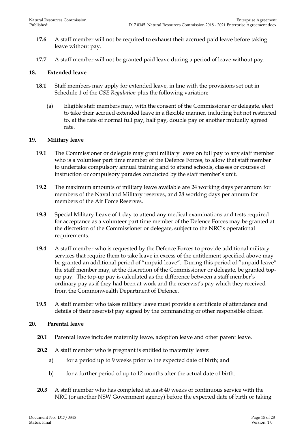- **17.6** A staff member will not be required to exhaust their accrued paid leave before taking leave without pay.
- **17.7** A staff member will not be granted paid leave during a period of leave without pay.

#### <span id="page-14-0"></span>**18. Extended leave**

- **18.1** Staff members may apply for extended leave, in line with the provisions set out in Schedule 1 of the *GSE Regulation* plus the following variation:
	- (a) Eligible staff members may, with the consent of the Commissioner or delegate, elect to take their accrued extended leave in a flexible manner, including but not restricted to, at the rate of normal full pay, half pay, double pay or another mutually agreed rate.

#### <span id="page-14-1"></span>**19. Military leave**

- **19.1** The Commissioner or delegate may grant military leave on full pay to any staff member who is a volunteer part time member of the Defence Forces, to allow that staff member to undertake compulsory annual training and to attend schools, classes or courses of instruction or compulsory parades conducted by the staff member's unit.
- **19.2** The maximum amounts of military leave available are 24 working days per annum for members of the Naval and Military reserves, and 28 working days per annum for members of the Air Force Reserves.
- **19.3** Special Military Leave of 1 day to attend any medical examinations and tests required for acceptance as a volunteer part time member of the Defence Forces may be granted at the discretion of the Commissioner or delegate, subject to the NRC's operational requirements.
- **19.4** A staff member who is requested by the Defence Forces to provide additional military services that require them to take leave in excess of the entitlement specified above may be granted an additional period of "unpaid leave". During this period of "unpaid leave" the staff member may, at the discretion of the Commissioner or delegate, be granted topup pay. The top-up pay is calculated as the difference between a staff member's ordinary pay as if they had been at work and the reservist's pay which they received from the Commonwealth Department of Defence.
- **19.5** A staff member who takes military leave must provide a certificate of attendance and details of their reservist pay signed by the commanding or other responsible officer.

#### <span id="page-14-2"></span>**20. Parental leave**

- **20.1** Parental leave includes maternity leave, adoption leave and other parent leave.
- **20.2** A staff member who is pregnant is entitled to maternity leave:
	- a) for a period up to 9 weeks prior to the expected date of birth; and
	- b) for a further period of up to 12 months after the actual date of birth.
- **20.3** A staff member who has completed at least 40 weeks of continuous service with the NRC (or another NSW Government agency) before the expected date of birth or taking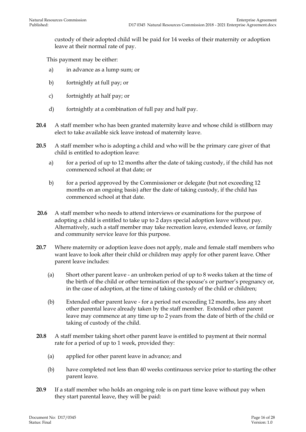custody of their adopted child will be paid for 14 weeks of their maternity or adoption leave at their normal rate of pay.

This payment may be either:

- a) in advance as a lump sum; or
- b) fortnightly at full pay; or
- c) fortnightly at half pay; or
- d) fortnightly at a combination of full pay and half pay.
- **20.4** A staff member who has been granted maternity leave and whose child is stillborn may elect to take available sick leave instead of maternity leave.
- **20.5** A staff member who is adopting a child and who will be the primary care giver of that child is entitled to adoption leave:
	- a) for a period of up to 12 months after the date of taking custody, if the child has not commenced school at that date; or
	- b) for a period approved by the Commissioner or delegate (but not exceeding 12 months on an ongoing basis) after the date of taking custody, if the child has commenced school at that date.
- **20.6** A staff member who needs to attend interviews or examinations for the purpose of adopting a child is entitled to take up to 2 days special adoption leave without pay. Alternatively, such a staff member may take recreation leave, extended leave, or family and community service leave for this purpose.
- **20.7** Where maternity or adoption leave does not apply, male and female staff members who want leave to look after their child or children may apply for other parent leave. Other parent leave includes:
	- (a) Short other parent leave an unbroken period of up to 8 weeks taken at the time of the birth of the child or other termination of the spouse's or partner's pregnancy or, in the case of adoption, at the time of taking custody of the child or children;
	- (b) Extended other parent leave for a period not exceeding 12 months, less any short other parental leave already taken by the staff member. Extended other parent leave may commence at any time up to 2 years from the date of birth of the child or taking of custody of the child.
- **20.8** A staff member taking short other parent leave is entitled to payment at their normal rate for a period of up to 1 week, provided they:
	- (a) applied for other parent leave in advance; and
	- (b) have completed not less than 40 weeks continuous service prior to starting the other parent leave.
- **20.9** If a staff member who holds an ongoing role is on part time leave without pay when they start parental leave, they will be paid: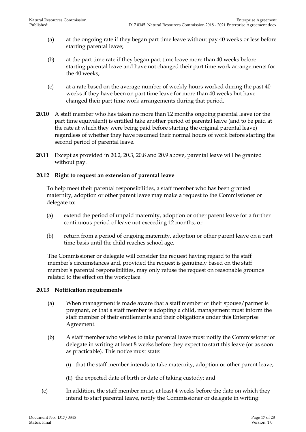- (a) at the ongoing rate if they began part time leave without pay 40 weeks or less before starting parental leave;
- (b) at the part time rate if they began part time leave more than 40 weeks before starting parental leave and have not changed their part time work arrangements for the 40 weeks;
- (c) at a rate based on the average number of weekly hours worked during the past 40 weeks if they have been on part time leave for more than 40 weeks but have changed their part time work arrangements during that period.
- **20.10** A staff member who has taken no more than 12 months ongoing parental leave (or the part time equivalent) is entitled take another period of parental leave (and to be paid at the rate at which they were being paid before starting the original parental leave) regardless of whether they have resumed their normal hours of work before starting the second period of parental leave.
- **20.11** Except as provided in 20.2, 20.3, 20.8 and 20.9 above, parental leave will be granted without pay.

#### **20.12 Right to request an extension of parental leave**

To help meet their parental responsibilities, a staff member who has been granted maternity, adoption or other parent leave may make a request to the Commissioner or delegate to:

- (a) extend the period of unpaid maternity, adoption or other parent leave for a further continuous period of leave not exceeding 12 months; or
- (b) return from a period of ongoing maternity, adoption or other parent leave on a part time basis until the child reaches school age.

The Commissioner or delegate will consider the request having regard to the staff member's circumstances and, provided the request is genuinely based on the staff member's parental responsibilities, may only refuse the request on reasonable grounds related to the effect on the workplace.

#### **20.13 Notification requirements**

- (a) When management is made aware that a staff member or their spouse/partner is pregnant, or that a staff member is adopting a child, management must inform the staff member of their entitlements and their obligations under this Enterprise Agreement.
- (b) A staff member who wishes to take parental leave must notify the Commissioner or delegate in writing at least 8 weeks before they expect to start this leave (or as soon as practicable). This notice must state:
	- (i) that the staff member intends to take maternity, adoption or other parent leave;
	- (ii) the expected date of birth or date of taking custody; and
- (c) In addition, the staff member must, at least 4 weeks before the date on which they intend to start parental leave, notify the Commissioner or delegate in writing: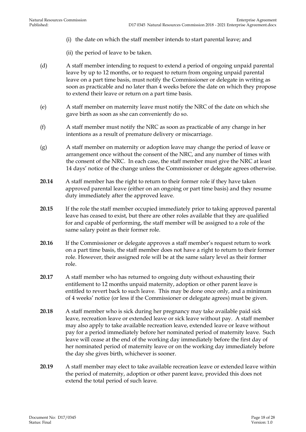- (i) the date on which the staff member intends to start parental leave; and
- (ii) the period of leave to be taken.
- (d) A staff member intending to request to extend a period of ongoing unpaid parental leave by up to 12 months, or to request to return from ongoing unpaid parental leave on a part time basis, must notify the Commissioner or delegate in writing as soon as practicable and no later than 4 weeks before the date on which they propose to extend their leave or return on a part time basis.
- (e) A staff member on maternity leave must notify the NRC of the date on which she gave birth as soon as she can conveniently do so.
- (f) A staff member must notify the NRC as soon as practicable of any change in her intentions as a result of premature delivery or miscarriage.
- (g) A staff member on maternity or adoption leave may change the period of leave or arrangement once without the consent of the NRC, and any number of times with the consent of the NRC. In each case, the staff member must give the NRC at least 14 days' notice of the change unless the Commissioner or delegate agrees otherwise.
- **20.14** A staff member has the right to return to their former role if they have taken approved parental leave (either on an ongoing or part time basis) and they resume duty immediately after the approved leave.
- **20.15** If the role the staff member occupied immediately prior to taking approved parental leave has ceased to exist, but there are other roles available that they are qualified for and capable of performing, the staff member will be assigned to a role of the same salary point as their former role.
- **20.16** If the Commissioner or delegate approves a staff member's request return to work on a part time basis, the staff member does not have a right to return to their former role. However, their assigned role will be at the same salary level as their former role.
- **20.17** A staff member who has returned to ongoing duty without exhausting their entitlement to 12 months unpaid maternity, adoption or other parent leave is entitled to revert back to such leave. This may be done once only, and a minimum of 4 weeks' notice (or less if the Commissioner or delegate agrees) must be given.
- **20.18** A staff member who is sick during her pregnancy may take available paid sick leave, recreation leave or extended leave or sick leave without pay. A staff member may also apply to take available recreation leave, extended leave or leave without pay for a period immediately before her nominated period of maternity leave. Such leave will cease at the end of the working day immediately before the first day of her nominated period of maternity leave or on the working day immediately before the day she gives birth, whichever is sooner.
- **20.19** A staff member may elect to take available recreation leave or extended leave within the period of maternity, adoption or other parent leave, provided this does not extend the total period of such leave.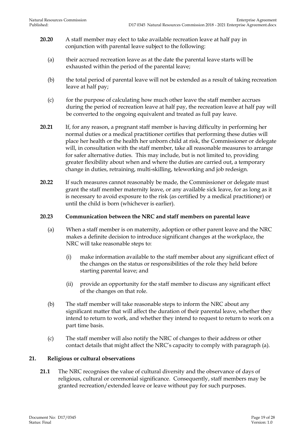- **20.20** A staff member may elect to take available recreation leave at half pay in conjunction with parental leave subject to the following:
	- (a) their accrued recreation leave as at the date the parental leave starts will be exhausted within the period of the parental leave;
	- (b) the total period of parental leave will not be extended as a result of taking recreation leave at half pay;
	- (c) for the purpose of calculating how much other leave the staff member accrues during the period of recreation leave at half pay, the recreation leave at half pay will be converted to the ongoing equivalent and treated as full pay leave.
- **20.21** If, for any reason, a pregnant staff member is having difficulty in performing her normal duties or a medical practitioner certifies that performing these duties will place her health or the health her unborn child at risk, the Commissioner or delegate will, in consultation with the staff member, take all reasonable measures to arrange for safer alternative duties. This may include, but is not limited to, providing greater flexibility about when and where the duties are carried out, a temporary change in duties, retraining, multi-skilling, teleworking and job redesign.
- **20.22** If such measures cannot reasonably be made, the Commissioner or delegate must grant the staff member maternity leave, or any available sick leave, for as long as it is necessary to avoid exposure to the risk (as certified by a medical practitioner) or until the child is born (whichever is earlier).

#### **20.23 Communication between the NRC and staff members on parental leave**

- (a) When a staff member is on maternity, adoption or other parent leave and the NRC makes a definite decision to introduce significant changes at the workplace, the NRC will take reasonable steps to:
	- (i) make information available to the staff member about any significant effect of the changes on the status or responsibilities of the role they held before starting parental leave; and
	- (ii) provide an opportunity for the staff member to discuss any significant effect of the changes on that role.
- (b) The staff member will take reasonable steps to inform the NRC about any significant matter that will affect the duration of their parental leave, whether they intend to return to work, and whether they intend to request to return to work on a part time basis.
- (c) The staff member will also notify the NRC of changes to their address or other contact details that might affect the NRC's capacity to comply with paragraph (a).

#### <span id="page-18-0"></span>**21. Religious or cultural observations**

**21.1** The NRC recognises the value of cultural diversity and the observance of days of religious, cultural or ceremonial significance. Consequently, staff members may be granted recreation/extended leave or leave without pay for such purposes.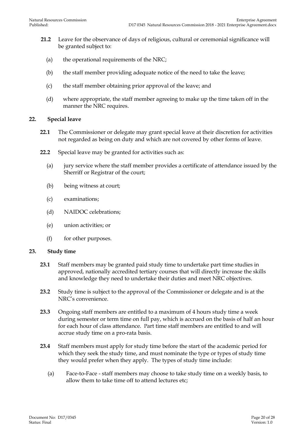- **21.2** Leave for the observance of days of religious, cultural or ceremonial significance will be granted subject to:
	- (a) the operational requirements of the NRC;
	- (b) the staff member providing adequate notice of the need to take the leave;
	- (c) the staff member obtaining prior approval of the leave; and
	- (d) where appropriate, the staff member agreeing to make up the time taken off in the manner the NRC requires.

#### <span id="page-19-0"></span>**22. Special leave**

- **22.1** The Commissioner or delegate may grant special leave at their discretion for activities not regarded as being on duty and which are not covered by other forms of leave.
- **22.2** Special leave may be granted for activities such as:
	- (a) jury service where the staff member provides a certificate of attendance issued by the Sherriff or Registrar of the court;
	- (b) being witness at court;
	- (c) examinations;
	- (d) NAIDOC celebrations;
	- (e) union activities; or
	- (f) for other purposes.

#### <span id="page-19-1"></span>**23. Study time**

- **23.1** Staff members may be granted paid study time to undertake part time studies in approved, nationally accredited tertiary courses that will directly increase the skills and knowledge they need to undertake their duties and meet NRC objectives.
- **23.2** Study time is subject to the approval of the Commissioner or delegate and is at the NRC's convenience.
- **23.3** Ongoing staff members are entitled to a maximum of 4 hours study time a week during semester or term time on full pay, which is accrued on the basis of half an hour for each hour of class attendance. Part time staff members are entitled to and will accrue study time on a pro-rata basis.
- **23.4** Staff members must apply for study time before the start of the academic period for which they seek the study time, and must nominate the type or types of study time they would prefer when they apply. The types of study time include:
	- (a) Face-to-Face staff members may choose to take study time on a weekly basis, to allow them to take time off to attend lectures etc;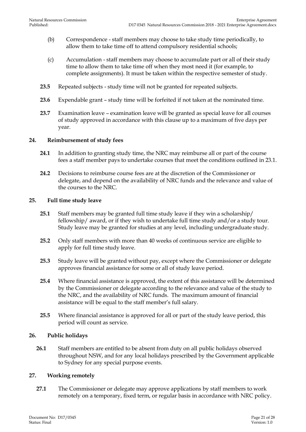- (b) Correspondence staff members may choose to take study time periodically, to allow them to take time off to attend compulsory residential schools;
- (c) Accumulation staff members may choose to accumulate part or all of their study time to allow them to take time off when they most need it (for example, to complete assignments). It must be taken within the respective semester of study.
- **23.5** Repeated subjects study time will not be granted for repeated subjects.
- **23.6** Expendable grant study time will be forfeited if not taken at the nominated time.
- **23.7** Examination leave examination leave will be granted as special leave for all courses of study approved in accordance with this clause up to a maximum of five days per year.

#### <span id="page-20-0"></span>**24. Reimbursement of study fees**

- **24.1** In addition to granting study time, the NRC may reimburse all or part of the course fees a staff member pays to undertake courses that meet the conditions outlined in 23.1.
- **24.2** Decisions to reimburse course fees are at the discretion of the Commissioner or delegate, and depend on the availability of NRC funds and the relevance and value of the courses to the NRC.

#### <span id="page-20-1"></span>**25. Full time study leave**

- **25.1** Staff members may be granted full time study leave if they win a scholarship/ fellowship/ award, or if they wish to undertake full time study and/or a study tour. Study leave may be granted for studies at any level, including undergraduate study.
- **25.2** Only staff members with more than 40 weeks of continuous service are eligible to apply for full time study leave.
- **25.3** Study leave will be granted without pay, except where the Commissioner or delegate approves financial assistance for some or all of study leave period.
- **25.4** Where financial assistance is approved, the extent of this assistance will be determined by the Commissioner or delegate according to the relevance and value of the study to the NRC, and the availability of NRC funds. The maximum amount of financial assistance will be equal to the staff member's full salary.
- **25.5** Where financial assistance is approved for all or part of the study leave period, this period will count as service.

#### <span id="page-20-2"></span>**26. Public holidays**

**26.1** Staff members are entitled to be absent from duty on all public holidays observed throughout NSW, and for any local holidays prescribed by the Government applicable to Sydney for any special purpose events.

#### <span id="page-20-3"></span>**27. Working remotely**

**27.1** The Commissioner or delegate may approve applications by staff members to work remotely on a temporary, fixed term, or regular basis in accordance with NRC policy.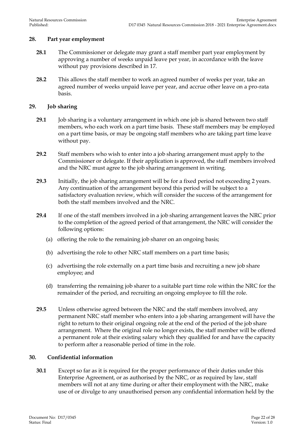#### <span id="page-21-0"></span>**28. Part year employment**

- **28.1** The Commissioner or delegate may grant a staff member part year employment by approving a number of weeks unpaid leave per year, in accordance with the leave without pay provisions described in 17.
- **28.2** This allows the staff member to work an agreed number of weeks per year, take an agreed number of weeks unpaid leave per year, and accrue other leave on a pro-rata basis.

#### <span id="page-21-1"></span>**29. Job sharing**

- **29.1** Job sharing is a voluntary arrangement in which one job is shared between two staff members, who each work on a part time basis. These staff members may be employed on a part time basis, or may be ongoing staff members who are taking part time leave without pay.
- **29.2** Staff members who wish to enter into a job sharing arrangement must apply to the Commissioner or delegate. If their application is approved, the staff members involved and the NRC must agree to the job sharing arrangement in writing.
- **29.3** Initially, the job sharing arrangement will be for a fixed period not exceeding 2 years. Any continuation of the arrangement beyond this period will be subject to a satisfactory evaluation review, which will consider the success of the arrangement for both the staff members involved and the NRC.
- **29.4** If one of the staff members involved in a job sharing arrangement leaves the NRC prior to the completion of the agreed period of that arrangement, the NRC will consider the following options:
	- (a) offering the role to the remaining job sharer on an ongoing basis;
	- (b) advertising the role to other NRC staff members on a part time basis;
	- (c) advertising the role externally on a part time basis and recruiting a new job share employee; and
	- (d) transferring the remaining job sharer to a suitable part time role within the NRC for the remainder of the period, and recruiting an ongoing employee to fill the role.
- **29.5** Unless otherwise agreed between the NRC and the staff members involved, any permanent NRC staff member who enters into a job sharing arrangement will have the right to return to their original ongoing role at the end of the period of the job share arrangement. Where the original role no longer exists, the staff member will be offered a permanent role at their existing salary which they qualified for and have the capacity to perform after a reasonable period of time in the role.

#### <span id="page-21-2"></span>**30. Confidential information**

**30.1** Except so far as it is required for the proper performance of their duties under this Enterprise Agreement, or as authorised by the NRC, or as required by law, staff members will not at any time during or after their employment with the NRC, make use of or divulge to any unauthorised person any confidential information held by the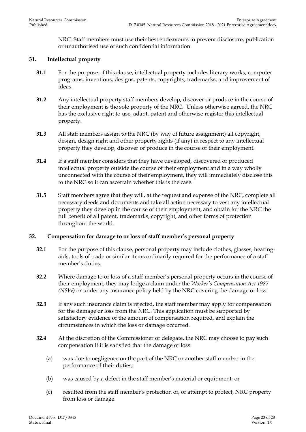NRC. Staff members must use their best endeavours to prevent disclosure, publication or unauthorised use of such confidential information.

#### <span id="page-22-0"></span>**31. Intellectual property**

- **31.1** For the purpose of this clause, intellectual property includes literary works, computer programs, inventions, designs, patents, copyrights, trademarks, and improvement of ideas.
- **31.2** Any intellectual property staff members develop, discover or produce in the course of their employment is the sole property of the NRC. Unless otherwise agreed, the NRC has the exclusive right to use, adapt, patent and otherwise register this intellectual property.
- **31.3** All staff members assign to the NRC (by way of future assignment) all copyright, design, design right and other property rights (if any) in respect to any intellectual property they develop, discover or produce in the course of their employment.
- **31.4** If a staff member considers that they have developed, discovered or produced intellectual property outside the course of their employment and in a way wholly unconnected with the course of their employment, they will immediately disclose this to the NRC so it can ascertain whether this is the case.
- **31.5** Staff members agree that they will, at the request and expense of the NRC, complete all necessary deeds and documents and take all action necessary to vest any intellectual property they develop in the course of their employment, and obtain for the NRC the full benefit of all patent, trademarks, copyright, and other forms of protection throughout the world.

#### <span id="page-22-1"></span>**32. Compensation for damage to or loss of staff member's personal property**

- **32.1** For the purpose of this clause, personal property may include clothes, glasses, hearingaids, tools of trade or similar items ordinarily required for the performance of a staff member's duties.
- **32.2** Where damage to or loss of a staff member's personal property occurs in the course of their employment, they may lodge a claim under the *Worker's Compensation Act 1987 (NSW)* or under any insurance policy held by the NRC covering the damage or loss.
- **32.3** If any such insurance claim is rejected, the staff member may apply for compensation for the damage or loss from the NRC. This application must be supported by satisfactory evidence of the amount of compensation required, and explain the circumstances in which the loss or damage occurred.
- **32.4** At the discretion of the Commissioner or delegate, the NRC may choose to pay such compensation if it is satisfied that the damage or loss:
	- (a) was due to negligence on the part of the NRC or another staff member in the performance of their duties;
	- (b) was caused by a defect in the staff member's material or equipment; or
	- (c) resulted from the staff member's protection of, or attempt to protect, NRC property from loss or damage.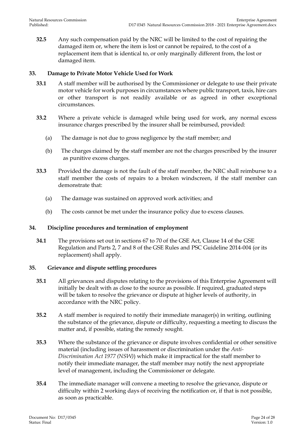**32.5** Any such compensation paid by the NRC will be limited to the cost of repairing the damaged item or, where the item is lost or cannot be repaired, to the cost of a replacement item that is identical to, or only marginally different from, the lost or damaged item.

#### <span id="page-23-0"></span>**33. Damage to Private Motor Vehicle Used for Work**

- **33.1** A staff member will be authorised by the Commissioner or delegate to use their private motor vehicle for work purposes in circumstances where public transport, taxis, hire cars or other transport is not readily available or as agreed in other exceptional circumstances.
- **33.2** Where a private vehicle is damaged while being used for work, any normal excess insurance charges prescribed by the insurer shall be reimbursed, provided:
	- (a) The damage is not due to gross negligence by the staff member; and
	- (b) The charges claimed by the staff member are not the charges prescribed by the insurer as punitive excess charges.
- **33.3** Provided the damage is not the fault of the staff member, the NRC shall reimburse to a staff member the costs of repairs to a broken windscreen, if the staff member can demonstrate that:
	- (a) The damage was sustained on approved work activities; and
	- (b) The costs cannot be met under the insurance policy due to excess clauses.

#### <span id="page-23-1"></span>**34. Discipline procedures and termination of employment**

**34.1** The provisions set out in sections 67 to 70 of the GSE Act, Clause 14 of the GSE Regulation and Parts 2, 7 and 8 of the GSE Rules and PSC Guideline 2014-004 (or its replacement) shall apply.

#### <span id="page-23-2"></span>**35. Grievance and dispute settling procedures**

- **35.1** All grievances and disputes relating to the provisions of this Enterprise Agreement will initially be dealt with as close to the source as possible. If required, graduated steps will be taken to resolve the grievance or dispute at higher levels of authority, in accordance with the NRC policy.
- **35.2** A staff member is required to notify their immediate manager(s) in writing, outlining the substance of the grievance, dispute or difficulty, requesting a meeting to discuss the matter and, if possible, stating the remedy sought.
- **35.3** Where the substance of the grievance or dispute involves confidential or other sensitive material (including issues of harassment or discrimination under the *Anti-Discrimination Act 1977 (NSW)*) which make it impractical for the staff member to notify their immediate manager, the staff member may notify the next appropriate level of management, including the Commissioner or delegate.
- **35.4** The immediate manager will convene a meeting to resolve the grievance, dispute or difficulty within 2 working days of receiving the notification or, if that is not possible, as soon as practicable.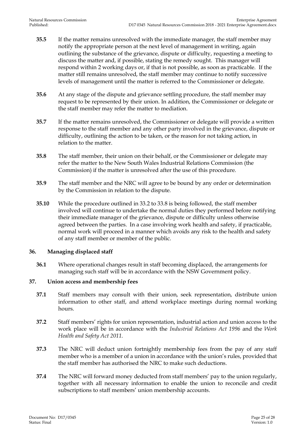- **35.5** If the matter remains unresolved with the immediate manager, the staff member may notify the appropriate person at the next level of management in writing, again outlining the substance of the grievance, dispute or difficulty, requesting a meeting to discuss the matter and, if possible, stating the remedy sought. This manager will respond within 2 working days or, if that is not possible, as soon as practicable. If the matter still remains unresolved, the staff member may continue to notify successive levels of management until the matter is referred to the Commissioner or delegate.
- **35.6** At any stage of the dispute and grievance settling procedure, the staff member may request to be represented by their union. In addition, the Commissioner or delegate or the staff member may refer the matter to mediation.
- **35.7** If the matter remains unresolved, the Commissioner or delegate will provide a written response to the staff member and any other party involved in the grievance, dispute or difficulty, outlining the action to be taken, or the reason for not taking action, in relation to the matter.
- **35.8** The staff member, their union on their behalf, or the Commissioner or delegate may refer the matter to the New South Wales Industrial Relations Commission (the Commission) if the matter is unresolved after the use of this procedure.
- **35.9** The staff member and the NRC will agree to be bound by any order or determination by the Commission in relation to the dispute.
- **35.10** While the procedure outlined in 33.2 to 33.8 is being followed, the staff member involved will continue to undertake the normal duties they performed before notifying their immediate manager of the grievance, dispute or difficulty unless otherwise agreed between the parties. In a case involving work health and safety, if practicable, normal work will proceed in a manner which avoids any risk to the health and safety of any staff member or member of the public.

#### <span id="page-24-0"></span>**36. Managing displaced staff**

**36.1** Where operational changes result in staff becoming displaced, the arrangements for managing such staff will be in accordance with the NSW Government policy.

#### <span id="page-24-1"></span>**37. Union access and membership fees**

- **37.1** Staff members may consult with their union, seek representation, distribute union information to other staff, and attend workplace meetings during normal working hours.
- **37.2** Staff members' rights for union representation, industrial action and union access to the work place will be in accordance with the *Industrial Relations Act 1996* and the *Work Health and Safety Act 2011*.
- **37.3** The NRC will deduct union fortnightly membership fees from the pay of any staff member who is a member of a union in accordance with the union's rules, provided that the staff member has authorised the NRC to make such deductions.
- **37.4** The NRC will forward money deducted from staff members' pay to the union regularly, together with all necessary information to enable the union to reconcile and credit subscriptions to staff members' union membership accounts.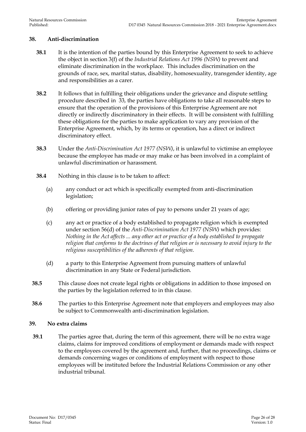#### <span id="page-25-0"></span>**38. Anti-discrimination**

- **38.1** It is the intention of the parties bound by this Enterprise Agreement to seek to achieve the object in section 3(f) of the *Industrial Relations Act 1996 (NSW)* to prevent and eliminate discrimination in the workplace. This includes discrimination on the grounds of race, sex, marital status, disability, homosexuality, transgender identity, age and responsibilities as a carer.
- **38.2** It follows that in fulfilling their obligations under the grievance and dispute settling procedure described in 33, the parties have obligations to take all reasonable steps to ensure that the operation of the provisions of this Enterprise Agreement are not directly or indirectly discriminatory in their effects. It will be consistent with fulfilling these obligations for the parties to make application to vary any provision of the Enterprise Agreement, which, by its terms or operation, has a direct or indirect discriminatory effect.
- **38.3** Under the *Anti-Discrimination Act 1977 (NSW)*, it is unlawful to victimise an employee because the employee has made or may make or has been involved in a complaint of unlawful discrimination or harassment.
- **38.4** Nothing in this clause is to be taken to affect:
	- (a) any conduct or act which is specifically exempted from anti-discrimination legislation;
	- (b) offering or providing junior rates of pay to persons under 21 years of age;
	- (c) any act or practice of a body established to propagate religion which is exempted under section 56(d) of the *Anti-Discrimination Act 1977 (NSW)* which provides: *Nothing in the Act affects ... any other act or practice of a body established to propagate religion that conforms to the doctrines of that religion or is necessary to avoid injury to the religious susceptibilities of the adherents of that religion.*
	- (d) a party to this Enterprise Agreement from pursuing matters of unlawful discrimination in any State or Federal jurisdiction.
- **38.5** This clause does not create legal rights or obligations in addition to those imposed on the parties by the legislation referred to in this clause.
- **38.6** The parties to this Enterprise Agreement note that employers and employees may also be subject to Commonwealth anti-discrimination legislation.

#### <span id="page-25-1"></span>**39. No extra claims**

**39.1** The parties agree that, during the term of this agreement, there will be no extra wage claims, claims for improved conditions of employment or demands made with respect to the employees covered by the agreement and, further, that no proceedings, claims or demands concerning wages or conditions of employment with respect to those employees will be instituted before the Industrial Relations Commission or any other industrial tribunal.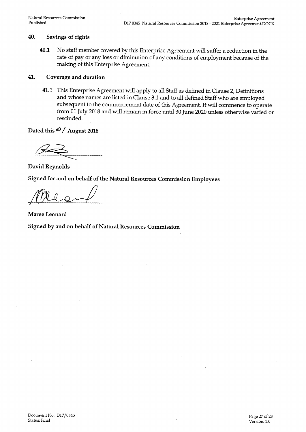#### 40. Savings of rights

40.1 No staff member covered by this Enterprise Agreement will suffer a reduction in the rate of pay or any loss or diminution of any conditions of employment because of the making of this Enterprise Agreement.

#### 41. Coverage and duration

41.1 This Enterprise Agreement will apply to all Staff as defined in Clause 2, Definitions and whose names are listed in Clause 3.1 and to all defined Staff who are employed subsequent to the commencement date of this Agreement. It will commence to operate from 01 July 2018 and will remain in force until 30 June 2020 unless otherwise varied or rescinded.

Dated this  $\mathcal{O}/\Lambda$ ugust 2018

David Reynolds

Signed for and on behalf of the Natural Resources Commission Employees

Maree Leonard

Signed by and on behalf of Natural Resources Commission

Document No: D17/0345 Status: Final